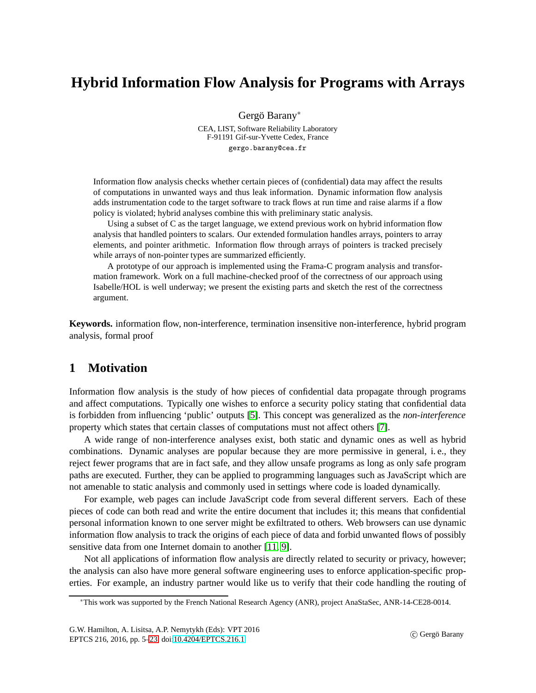# **Hybrid Information Flow Analysis for Programs with Arrays**

Gergö Barany<sup>∗</sup>

CEA, LIST, Software Reliability Laboratory F-91191 Gif-sur-Yvette Cedex, France gergo.barany@cea.fr

Information flow analysis checks whether certain pieces of (confidential) data may affect the results of computations in unwanted ways and thus leak information. Dynamic information flow analysis adds instrumentation code to the target software to track flows at run time and raise alarms if a flow policy is violated; hybrid analyses combine this with preliminary static analysis.

Using a subset of C as the target language, we extend previous work on hybrid information flow analysis that handled pointers to scalars. Our extended formulation handles arrays, pointers to array elements, and pointer arithmetic. Information flow through arrays of pointers is tracked precisely while arrays of non-pointer types are summarized efficiently.

A prototype of our approach is implemented using the Frama-C program analysis and transformation framework. Work on a full machine-checked proof of the correctness of our approach using Isabelle/HOL is well underway; we present the existing parts and sketch the rest of the correctness argument.

**Keywords.** information flow, non-interference, termination insensitive non-interference, hybrid program analysis, formal proof

# **1 Motivation**

Information flow analysis is the study of how pieces of confidential data propagate through programs and affect computations. Typically one wishes to enforce a security policy stating that confidential data is forbidden from influencing 'public' outputs [\[5\]](#page-17-0). This concept was generalized as the *non-interference* property which states that certain classes of computations must not affect others [\[7\]](#page-17-1).

A wide range of non-interference analyses exist, both static and dynamic ones as well as hybrid combinations. Dynamic analyses are popular because they are more permissive in general, i. e., they reject fewer programs that are in fact safe, and they allow unsafe programs as long as only safe program paths are executed. Further, they can be applied to programming languages such as JavaScript which are not amenable to static analysis and commonly used in settings where code is loaded dynamically.

For example, web pages can include JavaScript code from several different servers. Each of these pieces of code can both read and write the entire document that includes it; this means that confidential personal information known to one server might be exfiltrated to others. Web browsers can use dynamic information flow analysis to track the origins of each piece of data and forbid unwanted flows of possibly sensitive data from one Internet domain to another [\[11,](#page-17-2) [9\]](#page-17-3).

Not all applications of information flow analysis are directly related to security or privacy, however; the analysis can also have more general software engineering uses to enforce application-specific properties. For example, an industry partner would like us to verify that their code handling the routing of

<sup>∗</sup>This work was supported by the French National Research Agency (ANR), project AnaStaSec, ANR-14-CE28-0014.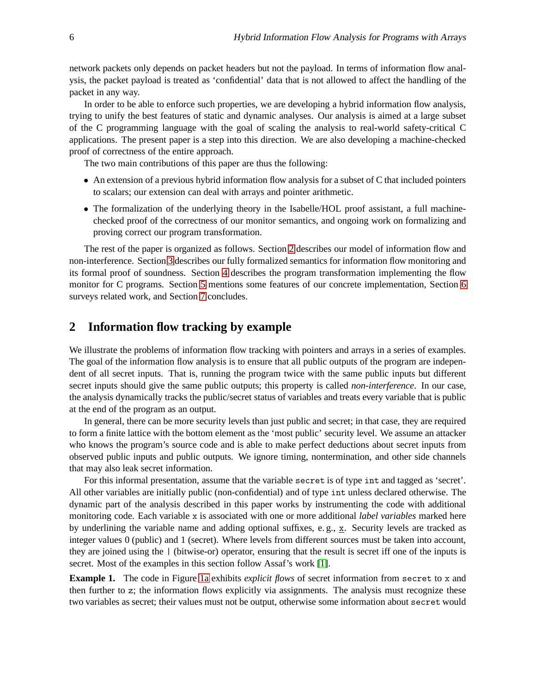network packets only depends on packet headers but not the payload. In terms of information flow analysis, the packet payload is treated as 'confidential' data that is not allowed to affect the handling of the packet in any way.

In order to be able to enforce such properties, we are developing a hybrid information flow analysis, trying to unify the best features of static and dynamic analyses. Our analysis is aimed at a large subset of the C programming language with the goal of scaling the analysis to real-world safety-critical C applications. The present paper is a step into this direction. We are also developing a machine-checked proof of correctness of the entire approach.

The two main contributions of this paper are thus the following:

- An extension of a previous hybrid information flow analysis for a subset of C that included pointers to scalars; our extension can deal with arrays and pointer arithmetic.
- The formalization of the underlying theory in the Isabelle/HOL proof assistant, a full machinechecked proof of the correctness of our monitor semantics, and ongoing work on formalizing and proving correct our program transformation.

The rest of the paper is organized as follows. Section [2](#page-1-0) describes our model of information flow and non-interference. Section [3](#page-3-0) describes our fully formalized semantics for information flow monitoring and its formal proof of soundness. Section [4](#page-11-0) describes the program transformation implementing the flow monitor for C programs. Section [5](#page-15-0) mentions some features of our concrete implementation, Section [6](#page-16-0) surveys related work, and Section [7](#page-16-1) concludes.

### <span id="page-1-0"></span>**2 Information flow tracking by example**

We illustrate the problems of information flow tracking with pointers and arrays in a series of examples. The goal of the information flow analysis is to ensure that all public outputs of the program are independent of all secret inputs. That is, running the program twice with the same public inputs but different secret inputs should give the same public outputs; this property is called *non-interference*. In our case, the analysis dynamically tracks the public/secret status of variables and treats every variable that is public at the end of the program as an output.

In general, there can be more security levels than just public and secret; in that case, they are required to form a finite lattice with the bottom element as the 'most public' security level. We assume an attacker who knows the program's source code and is able to make perfect deductions about secret inputs from observed public inputs and public outputs. We ignore timing, nontermination, and other side channels that may also leak secret information.

For this informal presentation, assume that the variable secret is of type int and tagged as 'secret'. All other variables are initially public (non-confidential) and of type int unless declared otherwise. The dynamic part of the analysis described in this paper works by instrumenting the code with additional monitoring code. Each variable x is associated with one or more additional *label variables* marked here by underlining the variable name and adding optional suffixes, e. g., x. Security levels are tracked as integer values 0 (public) and 1 (secret). Where levels from different sources must be taken into account, they are joined using the | (bitwise-or) operator, ensuring that the result is secret iff one of the inputs is secret. Most of the examples in this section follow Assaf's work [\[1\]](#page-17-4).

<span id="page-1-1"></span>**Example 1.** The code in Figure [1a](#page-2-0) exhibits *explicit flows* of secret information from secret to x and then further to z; the information flows explicitly via assignments. The analysis must recognize these two variables as secret; their values must not be output, otherwise some information about secret would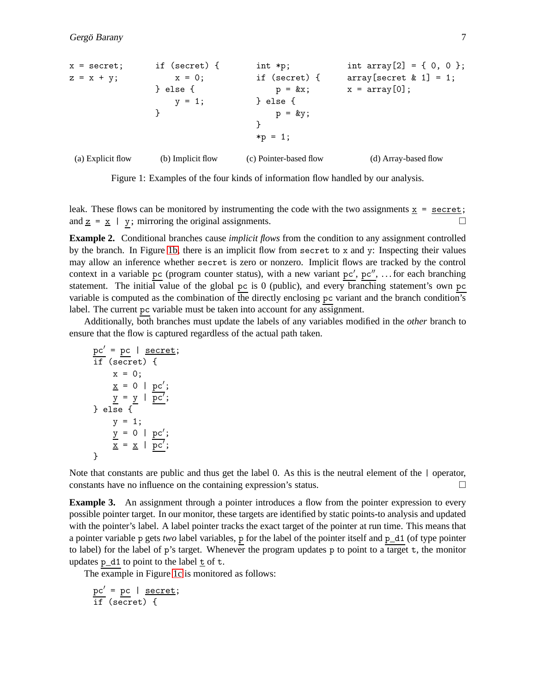<span id="page-2-0"></span>

Figure 1: Examples of the four kinds of information flow handled by our analysis.

leak. These flows can be monitored by instrumenting the code with the two assignments  $x =$  secret; and  $\underline{z} = \underline{x}$  | y; mirroring the original assignments.

<span id="page-2-2"></span>**Example 2.** Conditional branches cause *implicit flows* from the condition to any assignment controlled by the branch. In Figure [1b,](#page-2-0) there is an implicit flow from secret to x and y: Inspecting their values may allow an inference whether secret is zero or nonzero. Implicit flows are tracked by the control context in a variable pc (program counter status), with a new variant  $pc'$ ,  $pc''$ , ... for each branching statement. The initial value of the global pc is 0 (public), and every branching statement's own pc variable is computed as the combination of the directly enclosing pc variant and the branch condition's label. The current pc variable must be taken into account for any assignment.

Additionally, both branches must update the labels of any variables modified in the *other* branch to ensure that the flow is captured regardless of the actual path taken.

```
pc' = pc | secret;
\overline{\text{if}} (secret) {
       x = 0;\underline{x} = 0 | pc';
        y = y \mid \overline{pc'};
} else {
       y = 1;y = 0 | pc';\frac{x}{\underline{x}} = \underline{x} \mid \overline{pc'};
}
```
Note that constants are public and thus get the label 0. As this is the neutral element of the  $\vert$  operator, constants have no influence on the containing expression's status.  $\Box$ 

<span id="page-2-1"></span>**Example 3.** An assignment through a pointer introduces a flow from the pointer expression to every possible pointer target. In our monitor, these targets are identified by static points-to analysis and updated with the pointer's label. A label pointer tracks the exact target of the pointer at run time. This means that a pointer variable p gets *two* label variables, p for the label of the pointer itself and p\_d1 (of type pointer to label) for the label of p's target. Whenever the program updates p to point to a target t, the monitor updates  $p_d1$  to point to the label  $\pm$  of  $\pm$ .

The example in Figure [1c](#page-2-0) is monitored as follows:

$$
\frac{pc'}{if} = \frac{pc}{secret} \mid \frac{secret}{f};
$$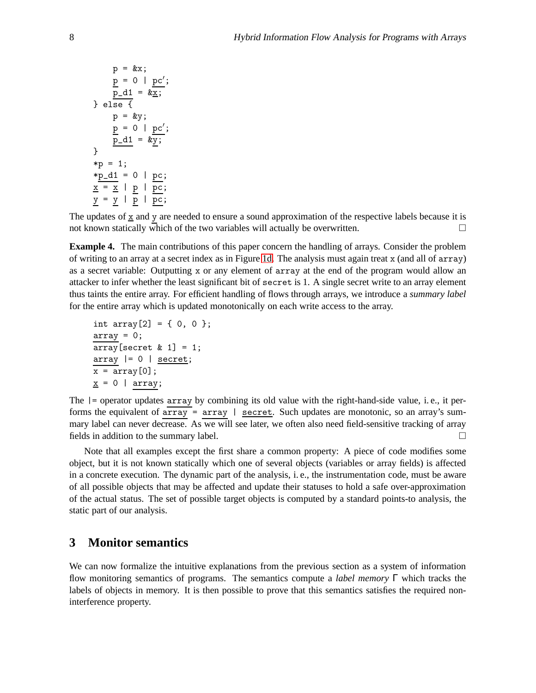$$
p = kx;
$$
\n
$$
\underline{p} = 0 | \underline{pc}';
$$
\n
$$
\underline{p} = 0 | \underline{pc}';
$$
\n
$$
\underline{p} = 0 | \underline{pc}';
$$
\n
$$
p = ky;
$$
\n
$$
\underline{p} = 0 | \underline{pc}';
$$
\n
$$
\underline{p} = 1;
$$
\n
$$
*p = 1;
$$
\n
$$
\underline{x} = \underline{x} | \underline{p} | \underline{pc};
$$
\n
$$
\underline{y} = \underline{y} | \underline{p} | \underline{pc};
$$

<span id="page-3-1"></span>The updates of  $\underline{x}$  and y are needed to ensure a sound approximation of the respective labels because it is not known statically which of the two variables will actually be overwritten.  $\Box$ 

**Example 4.** The main contributions of this paper concern the handling of arrays. Consider the problem of writing to an array at a secret index as in Figure [1d.](#page-2-0) The analysis must again treat x (and all of array) as a secret variable: Outputting x or any element of array at the end of the program would allow an attacker to infer whether the least significant bit of secret is 1. A single secret write to an array element thus taints the entire array. For efficient handling of flows through arrays, we introduce a *summary label* for the entire array which is updated monotonically on each write access to the array.

```
int array[2] = \{ 0, 0 \};
array = 0;array[secret & 1] = 1;array |= 0 | secret;
x = array[0];x = 0 | array;
```
The |= operator updates array by combining its old value with the right-hand-side value, i. e., it performs the equivalent of  $array = array$  | secret. Such updates are monotonic, so an array's summary label can never decrease. As we will see later, we often also need field-sensitive tracking of array fields in addition to the summary label.

Note that all examples except the first share a common property: A piece of code modifies some object, but it is not known statically which one of several objects (variables or array fields) is affected in a concrete execution. The dynamic part of the analysis, i. e., the instrumentation code, must be aware of all possible objects that may be affected and update their statuses to hold a safe over-approximation of the actual status. The set of possible target objects is computed by a standard points-to analysis, the static part of our analysis.

### <span id="page-3-0"></span>**3 Monitor semantics**

We can now formalize the intuitive explanations from the previous section as a system of information flow monitoring semantics of programs. The semantics compute a *label memory* Γ which tracks the labels of objects in memory. It is then possible to prove that this semantics satisfies the required noninterference property.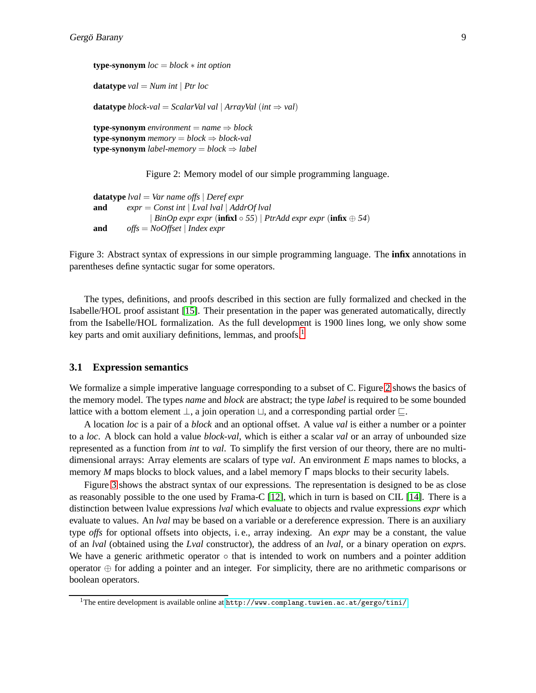<span id="page-4-1"></span>**type-synonym** *loc* = *block* ∗ *int option* **datatype**  $val = Num$  *int* | *Ptr loc* **datatype** *block-val* = *ScalarVal val* | *ArrayVal* (*int*  $\Rightarrow$  *val*) **type-synonym** environment =  $name \Rightarrow block$ **type-synonym** *memory* =  $block \Rightarrow block \Rightarrow block \cdot val$ **type-synonym** *label-memory* =  $block \Rightarrow$  *label* 

Figure 2: Memory model of our simple programming language.

```
datatype lval = Var name offs | Deref expr
and expr = Const int | Lval lval | AddrOf lval
               | BinOp expr expr (infixl ◦ 55) | PtrAdd expr expr (infix ⊕ 54)
and offs = NoOffset | Index expr
```
Figure 3: Abstract syntax of expressions in our simple programming language. The **infix** annotations in parentheses define syntactic sugar for some operators.

The types, definitions, and proofs described in this section are fully formalized and checked in the Isabelle/HOL proof assistant [\[15\]](#page-17-5). Their presentation in the paper was generated automatically, directly from the Isabelle/HOL formalization. As the full development is 1900 lines long, we only show some key parts and omit auxiliary definitions, lemmas, and proofs.<sup>[1](#page-4-0)</sup>

#### **3.1 Expression semantics**

We formalize a simple imperative language corresponding to a subset of C. Figure [2](#page-4-1) shows the basics of the memory model. The types *name* and *block* are abstract; the type *label* is required to be some bounded lattice with a bottom element  $\bot$ , a join operation  $\sqcup$ , and a corresponding partial order  $\sqsubseteq$ .

A location *loc* is a pair of a *block* and an optional offset. A value *val* is either a number or a pointer to a *loc*. A block can hold a value *block-val*, which is either a scalar *val* or an array of unbounded size represented as a function from *int* to *val*. To simplify the first version of our theory, there are no multidimensional arrays: Array elements are scalars of type *val*. An environment *E* maps names to blocks, a memory *M* maps blocks to block values, and a label memory  $\Gamma$  maps blocks to their security labels.

Figure [3](#page-4-2) shows the abstract syntax of our expressions. The representation is designed to be as close as reasonably possible to the one used by Frama-C [\[12\]](#page-17-6), which in turn is based on CIL [\[14\]](#page-17-7). There is a distinction between lvalue expressions *lval* which evaluate to objects and rvalue expressions *expr* which evaluate to values. An *lval* may be based on a variable or a dereference expression. There is an auxiliary type *offs* for optional offsets into objects, i. e., array indexing. An *expr* may be a constant, the value of an *lval* (obtained using the *Lval* constructor), the address of an *lval*, or a binary operation on *expr*s. We have a generic arithmetic operator  $\circ$  that is intended to work on numbers and a pointer addition operator ⊕ for adding a pointer and an integer. For simplicity, there are no arithmetic comparisons or boolean operators.

<span id="page-4-0"></span><sup>1</sup>The entire development is available online at <http://www.complang.tuwien.ac.at/gergo/tini/>.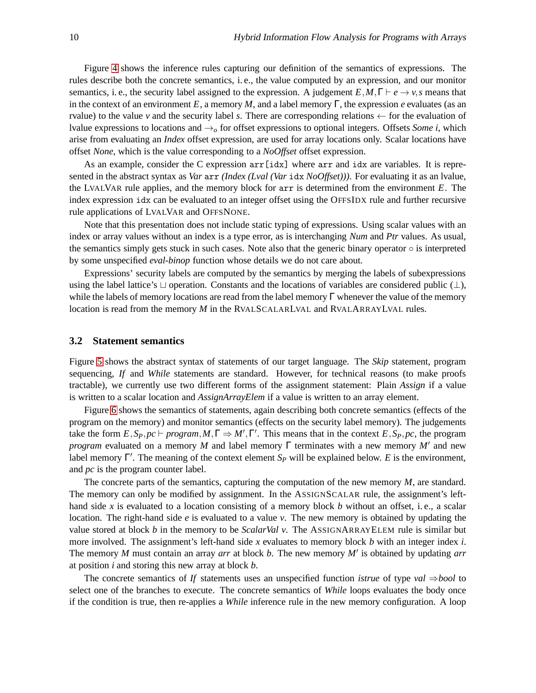Figure [4](#page-6-0) shows the inference rules capturing our definition of the semantics of expressions. The rules describe both the concrete semantics, i. e., the value computed by an expression, and our monitor semantics, i. e., the security label assigned to the expression. A judgement  $E, M, \Gamma \vdash e \rightarrow v, s$  means that in the context of an environment *E*, a memory *M*, and a label memory  $\Gamma$ , the expression *e* evaluates (as an rvalue) to the value *v* and the security label *s*. There are corresponding relations  $\leftarrow$  for the evaluation of lvalue expressions to locations and  $\rightarrow$ <sup> $o$ </sup> for offset expressions to optional integers. Offsets *Some i*, which arise from evaluating an *Index* offset expression, are used for array locations only. Scalar locations have offset *None*, which is the value corresponding to a *NoOffset* offset expression.

As an example, consider the C expression arr[idx] where arr and idx are variables. It is represented in the abstract syntax as *Var* arr *(Index (Lval (Var* idx *NoOffset)))*. For evaluating it as an lvalue, the LVALVAR rule applies, and the memory block for arr is determined from the environment *E*. The index expression idx can be evaluated to an integer offset using the OFFSIDX rule and further recursive rule applications of LVALVAR and OFFSNONE.

Note that this presentation does not include static typing of expressions. Using scalar values with an index or array values without an index is a type error, as is interchanging *Num* and *Ptr* values. As usual, the semantics simply gets stuck in such cases. Note also that the generic binary operator ◦ is interpreted by some unspecified *eval-binop* function whose details we do not care about.

Expressions' security labels are computed by the semantics by merging the labels of subexpressions using the label lattice's ⊔ operation. Constants and the locations of variables are considered public (⊥), while the labels of memory locations are read from the label memory  $\Gamma$  whenever the value of the memory location is read from the memory *M* in the RVALSCALARLVAL and RVALARRAYLVAL rules.

#### **3.2 Statement semantics**

Figure [5](#page-6-1) shows the abstract syntax of statements of our target language. The *Skip* statement, program sequencing, *If* and *While* statements are standard. However, for technical reasons (to make proofs tractable), we currently use two different forms of the assignment statement: Plain *Assign* if a value is written to a scalar location and *AssignArrayElem* if a value is written to an array element.

Figure [6](#page-7-0) shows the semantics of statements, again describing both concrete semantics (effects of the program on the memory) and monitor semantics (effects on the security label memory). The judgements take the form  $E$ ,  $S_P$ ,  $pc \vdash program$ ,  $M$ ,  $\Gamma \Rightarrow M'$ ,  $\Gamma'$ . This means that in the context  $E$ ,  $S_P$ ,  $pc$ , the program *program* evaluated on a memory *M* and label memory Γ terminates with a new memory *M*′ and new label memory Γ ′ . The meaning of the context element *S<sup>P</sup>* will be explained below. *E* is the environment, and *pc* is the program counter label.

The concrete parts of the semantics, capturing the computation of the new memory *M*, are standard. The memory can only be modified by assignment. In the ASSIGNSCALAR rule, the assignment's lefthand side *x* is evaluated to a location consisting of a memory block *b* without an offset, i. e., a scalar location. The right-hand side *e* is evaluated to a value *v*. The new memory is obtained by updating the value stored at block *b* in the memory to be *ScalarVal v*. The ASSIGNARRAYELEM rule is similar but more involved. The assignment's left-hand side *x* evaluates to memory block *b* with an integer index *i*. The memory *M* must contain an array *arr* at block *b*. The new memory *M*′ is obtained by updating *arr* at position *i* and storing this new array at block *b*.

The concrete semantics of *If* statements uses an unspecified function *istrue* of type *val* ⇒*bool* to select one of the branches to execute. The concrete semantics of *While* loops evaluates the body once if the condition is true, then re-applies a *While* inference rule in the new memory configuration. A loop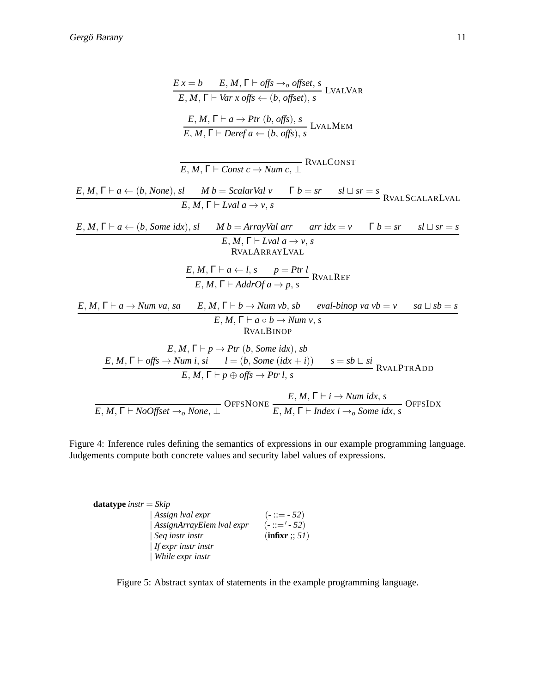<span id="page-6-0"></span>
$$
E x = b \t E, M, \Gamma \vdash \textit{offs} \rightarrow \textit{offset}, s
$$
\n
$$
E, M, \Gamma \vdash \textit{Var x offs} \leftarrow (b, \textit{offset}), s
$$
\n
$$
LVALMER
$$
\n
$$
\frac{E, M, \Gamma \vdash a \rightarrow \textit{Pr}(b, \textit{offset}), s}{E, M, \Gamma \vdash \textit{Derefa} \leftarrow (b, \textit{offset}), s}
$$
\n
$$
LVALMEM
$$
\n
$$
\frac{E, M, \Gamma \vdash a \leftarrow (b, \textit{None}), s! \t M b = \textit{ScalarVal} \vee \Gamma b = sr \t s! \sqcup sr = s
$$
\n
$$
E, M, \Gamma \vdash a \leftarrow (b, \textit{None}), s! \t M b = \textit{ScalarVal} \vee \Gamma b = sr \t s! \sqcup sr = s
$$
\n
$$
E, M, \Gamma \vdash \textit{Lval } a \rightarrow v, s
$$
\n
$$
\frac{E, M, \Gamma \vdash \textit{Lval } a \rightarrow v, s}{E, M, \Gamma \vdash \textit{Lval } a \rightarrow v, s}
$$
\n
$$
\frac{E, M, \Gamma \vdash \textit{Lval } a \rightarrow v, s}{E, M, \Gamma \vdash \textit{A} \leftarrow (b, s \t m \text{ max} \vee \text{ max})}
$$
\n
$$
\frac{E, M, \Gamma \vdash a \leftarrow l, s \t p = \textit{Pr1} \times \textit{RVALR} \times \textit{RVALR} \times \textit{RIE}
$$
\n
$$
\frac{E, M, \Gamma \vdash a \leftarrow l, s \t m \text{ max} \cdot b, s \t \text{ eval-binop } \vee \text{ val} \cdot b \neq s \t \text{ all } s b = s}{E, M, \Gamma \vdash a \rightarrow b \rightarrow \textit{Num} \cdot v, s}
$$
\n
$$
\frac{E, M, \Gamma \vdash a \rightarrow \textit{Pr}(b, \textit{Some } \textit{idx}), s b}{E, M, \Gamma \vdash p \rightarrow \textit{Pr}(b, \textit{Some } \textit{idx})}, s b}
$$
\n
$$
\frac{E, M, \Gamma \vdash \textit{offs} \rightarrow \textit{Num} \cdot s, s \t \text
$$

Figure 4: Inference rules defining the semantics of expressions in our example programming language. Judgements compute both concrete values and security label values of expressions.

<span id="page-6-1"></span>

| <b>datatype</b> instr = $Skip$ |                              |                |
|--------------------------------|------------------------------|----------------|
|                                | $\vert$ Assign lval expr     | $(-::=-52)$    |
|                                | $ AssignArrayElem$ lval expr | $(-::='-52)$   |
|                                | $\vert$ Seq instr instr      | (infixr :: 51) |
|                                | $\vert$ If expr instr instr  |                |
|                                | While expr instr             |                |

Figure 5: Abstract syntax of statements in the example programming language.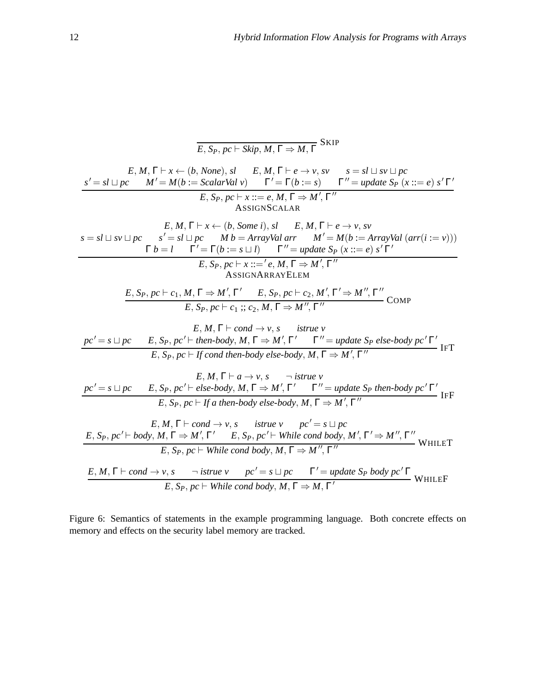<span id="page-7-0"></span>E, 
$$
S_P
$$
,  $pc \to \text{skip}, M, \Gamma \Rightarrow M, \Gamma$   
\nE,  $M, \Gamma \vdash x \leftarrow (b, None)$ ,  $sI$  E,  $M, \Gamma \vdash e \rightarrow v, sv$   $s = sl \cup sv \cup pc$   
\n
$$
\frac{s' = sl \cup pc \quad M' = M(b := \text{ScalarVal } v) \quad \Gamma' = \Gamma(b := s) \quad \Gamma'' = \text{update } S_P (x ::= e) \, s' \, \Gamma' \quad \text{ASSIGNSCALAR}
$$
\n
$$
E, S_P, pc \vdash x ::= e, M, \Gamma \vdash e \rightarrow v, sv
$$
\n
$$
s = sl \cup sv \cup pc \quad s' = sl \cup pc \quad Mb = \text{ArrayVal } arr \quad M' = M(b := \text{ArrayVal } (arr(i := v)))
$$
\n
$$
\Gamma b = I \quad \Gamma' = \Gamma(b := s \sqcup 1) \quad \Gamma'' = \text{update } S_P (x ::= e) \, s' \, \Gamma'
$$
\n
$$
E, S_P, pc \vdash x ::= 'e, M, \Gamma \Rightarrow M', \Gamma''
$$
\n
$$
f \Rightarrow S = S = S = S
$$
\n
$$
S = S = S
$$
\n
$$
S = S = S
$$
\n
$$
S = S = S
$$
\n
$$
S = S = S
$$
\n
$$
S = S = S
$$
\n
$$
S = S = S
$$
\n
$$
S = S = S
$$
\n
$$
S = S = S
$$
\n
$$
S = S = S
$$
\n
$$
S = S = S
$$
\n
$$
S = S = S
$$
\n
$$
S = S = S
$$
\n
$$
S = S = S
$$
\n
$$
S = S = S
$$
\n
$$
S = S = S
$$
\n
$$
S = S = S
$$
\n
$$
S = S = S
$$
\n
$$
S = S = S
$$
\n
$$
S = S = S
$$
\n
$$
S = S = S
$$
\n
$$
S = S = S
$$
\n
$$
S = S = S
$$
\n
$$
S = S = S
$$
\n
$$
S = S = S
$$
\n
$$
S = S = S
$$

Figure 6: Semantics of statements in the example programming language. Both concrete effects on memory and effects on the security label memory are tracked.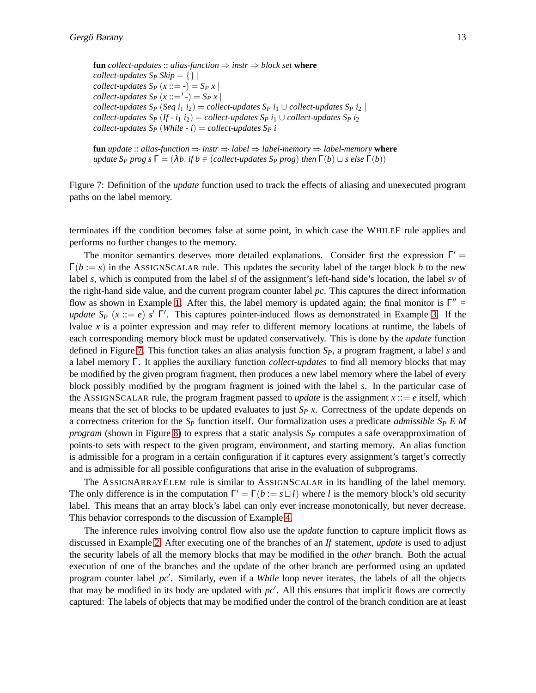<span id="page-8-0"></span>**fun** *collect-updates*  $\therefore$  *alias-function*  $\Rightarrow$  *instr*  $\Rightarrow$  *block set* **where** *collect-updates*  $S_P$  *Skip* =  $\{\}\$ *collect-updates*  $S_P(x ::= -) = S_P(x)$ *collect-updates*  $S_P(x ::= '-) = S_P x$ *collect-updates*  $S_P$  (*Seq i*<sub>1</sub> *i*<sub>2</sub>) = *collect-updates*  $S_P$  *i*<sub>1</sub>  $\cup$  *collect-updates*  $S_P$  *i*<sub>2</sub> | *collect-updates*  $S_P$  (*If - i*<sub>1</sub> *i*<sub>2</sub>) = *collect-updates*  $S_P$  *i*<sub>1</sub>  $\cup$  *collect-updates*  $S_P$  *i*<sub>2</sub> | *collect-updates*  $S_P$  (*While - i*) = *collect-updates*  $S_P$  *i* 

**fun** *update* :: *alias-function*  $\Rightarrow$  *instr*  $\Rightarrow$  *label*  $\Rightarrow$  *label-memory*  $\Rightarrow$  *label-memory* **where** *update*  $S_P$  *prog s*  $\Gamma = (\lambda b$ . *if*  $b \in (collect- updates S_P$  *prog*) *then*  $\Gamma(b) \sqcup s$  *else*  $\Gamma(b)$ )

Figure 7: Definition of the *update* function used to track the effects of aliasing and unexecuted program paths on the label memory.

terminates iff the condition becomes false at some point, in which case the WHILEF rule applies and performs no further changes to the memory.

The monitor semantics deserves more detailed explanations. Consider first the expression  $\Gamma' =$  $\Gamma(b := s)$  in the ASSIGNSCALAR rule. This updates the security label of the target block *b* to the new label *s*, which is computed from the label *sl* of the assignment's left-hand side's location, the label *sv* of the right-hand side value, and the current program counter label *pc*. This captures the direct information flow as shown in Example [1.](#page-1-1) After this, the label memory is updated again; the final monitor is  $\Gamma'' =$ *update*  $S_P$  ( $x ::= e$ )  $s'$   $\Gamma'$ . This captures pointer-induced flows as demonstrated in Example [3.](#page-2-1) If the lvalue *x* is a pointer expression and may refer to different memory locations at runtime, the labels of each corresponding memory block must be updated conservatively. This is done by the *update* function defined in Figure [7.](#page-8-0) This function takes an alias analysis function *SP*, a program fragment, a label *s* and a label memory Γ. It applies the auxiliary function *collect-updates* to find all memory blocks that may be modified by the given program fragment, then produces a new label memory where the label of every block possibly modified by the program fragment is joined with the label *s*. In the particular case of the ASSIGNSCALAR rule, the program fragment passed to *update* is the assignment  $x ::= e$  itself, which means that the set of blocks to be updated evaluates to just *S<sup>P</sup> x*. Correctness of the update depends on a correctness criterion for the *S<sup>P</sup>* function itself. Our formalization uses a predicate *admissible S<sup>P</sup> E M program* (shown in Figure [8\)](#page-9-0) to express that a static analysis *S<sup>P</sup>* computes a safe overapproximation of points-to sets with respect to the given program, environment, and starting memory. An alias function is admissible for a program in a certain configuration if it captures every assignment's target's correctly and is admissible for all possible configurations that arise in the evaluation of subprograms.

The ASSIGNARRAYELEM rule is similar to ASSIGNSCALAR in its handling of the label memory. The only difference is in the computation  $\Gamma' = \Gamma(b := s \sqcup l)$  where *l* is the memory block's old security label. This means that an array block's label can only ever increase monotonically, but never decrease. This behavior corresponds to the discussion of Example [4.](#page-3-1)

The inference rules involving control flow also use the *update* function to capture implicit flows as discussed in Example [2.](#page-2-2) After executing one of the branches of an *If* statement, *update* is used to adjust the security labels of all the memory blocks that may be modified in the *other* branch. Both the actual execution of one of the branches and the update of the other branch are performed using an updated program counter label *pc*′ . Similarly, even if a *While* loop never iterates, the labels of all the objects that may be modified in its body are updated with *pc*′ . All this ensures that implicit flows are correctly captured: The labels of objects that may be modified under the control of the branch condition are at least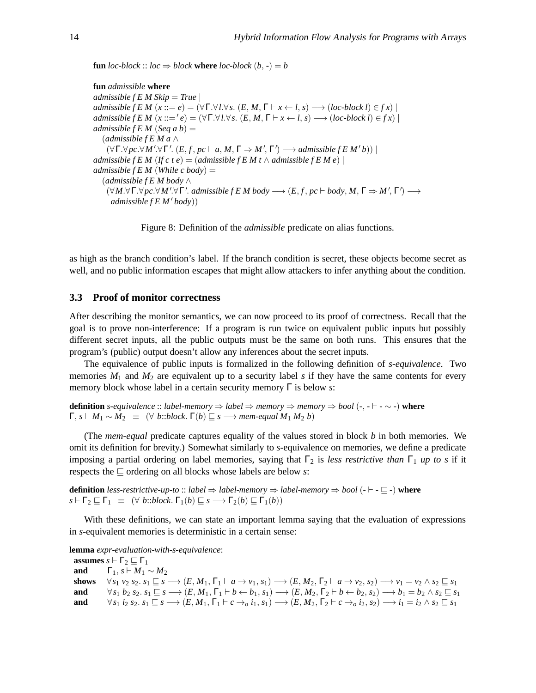<span id="page-9-0"></span>**fun** *loc-block* :: *loc*  $\Rightarrow$  *block* **where** *loc-block*  $(b, -) = b$ 

**fun** *admissible* **where** *admissible f E M Skip* = *True* | *admissible f E M*  $(x ::= e) = (\forall \Gamma. \forall l. \forall s. (E, M, \Gamma \vdash x \leftarrow l, s) \rightarrow (loc-block l) \in fx)$  $admissible f E M (x ::= 'e) = (\forall \Gamma. \forall l. \forall s. (E, M, \Gamma \vdash x \leftarrow l, s) \longrightarrow (loc-block l) \in f x)$ *admissible f E M* (*Seq a b*) = (*admissible f E M a* ∧  $(\forall \Gamma. \forall pc. \forall M'. \forall \Gamma'. (E, f, pc \vdash a, M, \Gamma \Rightarrow M', \Gamma') \longrightarrow admissible fEM'b))$ *admissible f E M* (*If c t e*) = (*admissible f E M t*  $\wedge$  *admissible f E M e*) | *admissible f E M* (*While c body*) = (*admissible f E M body* ∧  $(\forall M.\forall \Gamma.\forall pc.\forall M'.\forall \Gamma'.\ admissible \ f \ E \ M \ body \longrightarrow (E, f, pc \vdash body, M, \Gamma \Rightarrow M', \Gamma') \longrightarrow$ *admissible f E M* ′ *body*))

Figure 8: Definition of the *admissible* predicate on alias functions.

as high as the branch condition's label. If the branch condition is secret, these objects become secret as well, and no public information escapes that might allow attackers to infer anything about the condition.

#### **3.3 Proof of monitor correctness**

After describing the monitor semantics, we can now proceed to its proof of correctness. Recall that the goal is to prove non-interference: If a program is run twice on equivalent public inputs but possibly different secret inputs, all the public outputs must be the same on both runs. This ensures that the program's (public) output doesn't allow any inferences about the secret inputs.

The equivalence of public inputs is formalized in the following definition of *s-equivalence*. Two memories  $M_1$  and  $M_2$  are equivalent up to a security label *s* if they have the same contents for every memory block whose label in a certain security memory Γ is below *s*:

**definition** *s-equivalence* :: *label-memory* ⇒ *label* ⇒ *memory* ⇒ *memory* ⇒ *bool* (*-*, *-* ⊢ *-* ∼ *-*) **where**  $\Gamma, s \vdash M_1 \sim M_2 \equiv (\forall \ b::block. \Gamma(b) \sqsubseteq s \longrightarrow \text{mem-equal } M_1 M_2 b)$ 

(The *mem-equal* predicate captures equality of the values stored in block *b* in both memories. We omit its definition for brevity.) Somewhat similarly to *s*-equivalence on memories, we define a predicate imposing a partial ordering on label memories, saying that  $\Gamma_2$  is *less restrictive than*  $\Gamma_1$  *up to s* if it respects the ⊑ ordering on all blocks whose labels are below *s*:

**definition** *less-restrictive-up-to* :: *label* ⇒ *label-memory* ⇒ *label-memory* ⇒ *bool* (*-* ⊢ *-* ⊑ *-*) **where**  $s \vdash \Gamma_2 \sqsubseteq \Gamma_1 \equiv (\forall \ b::block. \Gamma_1(b) \sqsubseteq s \longrightarrow \Gamma_2(b) \sqsubseteq \Gamma_1(b))$ 

With these definitions, we can state an important lemma saying that the evaluation of expressions in *s*-equivalent memories is deterministic in a certain sense:

**lemma** *expr-evaluation-with-s-equivalence*:

**assumes**  $s \vdash \Gamma_2 \sqsubset \Gamma_1$ **and**  $\Gamma_1$ ,  $s \vdash M_1 \sim M_2$ shows  $\forall s_1 \ v_2 \ s_2 \ \ s_1 \sqsubseteq s \longrightarrow (E, M_1, \Gamma_1 \vdash a \rightarrow v_1, s_1) \longrightarrow (E, M_2, \Gamma_2 \vdash a \rightarrow v_2, s_2) \longrightarrow v_1 = v_2 \land s_2 \sqsubseteq s_1$ and  $\forall s_1 b_2 s_2. s_1 \sqsubseteq s \longrightarrow (E, M_1, \Gamma_1 \vdash b \leftarrow b_1, s_1) \longrightarrow (E, M_2, \Gamma_2 \vdash b \leftarrow b_2, s_2) \longrightarrow b_1 = b_2 \land s_2 \sqsubseteq s_1$ and  $\forall s_1 \ i_2 \ s_2. s_1 \sqsubseteq s \longrightarrow (E, M_1, \Gamma_1 \vdash c \rightarrow_o i_1, s_1) \longrightarrow (E, M_2, \Gamma_2 \vdash c \rightarrow_o i_2, s_2) \longrightarrow i_1 = i_2 \land s_2 \sqsubseteq s_1$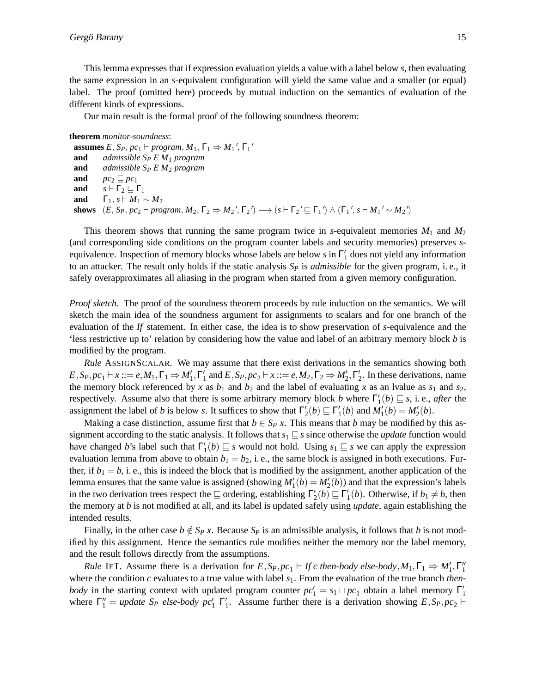This lemma expresses that if expression evaluation yields a value with a label below *s*, then evaluating the same expression in an *s*-equivalent configuration will yield the same value and a smaller (or equal) label. The proof (omitted here) proceeds by mutual induction on the semantics of evaluation of the different kinds of expressions.

Our main result is the formal proof of the following soundness theorem:

```
theorem monitor-soundness:
  assumes E, S_P, pc_1 \vdash program, M_1, \Gamma_1 \Rightarrow M_1', \Gamma_1'and admissible SP E M1 program
 and admissible SP E M2 program
 and pc_2 \sqsubseteq pc_1and s \vdash \Gamma_2 \sqsubseteq \Gamma_1and \Gamma_1, s \vdash M_1 \sim M_2shows (E, S_P, pc_2 \vdash program, M_2, \Gamma_2 \Rightarrow M_2', \Gamma_2') \longrightarrow (s \vdash \Gamma_2' \sqsubseteq \Gamma_1') \land (\Gamma_1', s \vdash M_1' \sim M_2')
```
This theorem shows that running the same program twice in *s*-equivalent memories  $M_1$  and  $M_2$ (and corresponding side conditions on the program counter labels and security memories) preserves *s*equivalence. Inspection of memory blocks whose labels are below *s* in Γ ′ 1 does not yield any information to an attacker. The result only holds if the static analysis  $S_p$  is *admissible* for the given program, i.e., it safely overapproximates all aliasing in the program when started from a given memory configuration.

*Proof sketch.* The proof of the soundness theorem proceeds by rule induction on the semantics. We will sketch the main idea of the soundness argument for assignments to scalars and for one branch of the evaluation of the *If* statement. In either case, the idea is to show preservation of *s*-equivalence and the 'less restrictive up to' relation by considering how the value and label of an arbitrary memory block *b* is modified by the program.

*Rule* ASSIGNSCALAR*.* We may assume that there exist derivations in the semantics showing both  $E, S_P, pc_1 \vdash x ::= e, M_1, \Gamma_1 \Rightarrow M'_1, \Gamma'_1 \text{ and } E, S_P, pc_2 \vdash x ::= e, M_2, \Gamma_2 \Rightarrow M'_2, \Gamma'_2.$  In these derivations, name the memory block referenced by *x* as  $b_1$  and  $b_2$  and the label of evaluating *x* as an lvalue as  $s_1$  and  $s_2$ , respectively. Assume also that there is some arbitrary memory block *b* where  $\Gamma'_1(b) \sqsubseteq s$ , i.e., *after* the assignment the label of *b* is below *s*. It suffices to show that  $\Gamma'_2(b) \sqsubseteq \Gamma'_1(b)$  and  $M'_1(b) = M'_2(b)$ .

Making a case distinction, assume first that  $b \in S_p x$ . This means that *b* may be modified by this assignment according to the static analysis. It follows that *s*<sup>1</sup> ⊑ *s* since otherwise the *update* function would have changed *b*'s label such that  $\Gamma'_1(b) \sqsubseteq s$  would not hold. Using  $s_1 \sqsubseteq s$  we can apply the expression evaluation lemma from above to obtain  $b_1 = b_2$ , i.e., the same block is assigned in both executions. Further, if  $b_1 = b$ , i. e., this is indeed the block that is modified by the assignment, another application of the lemma ensures that the same value is assigned (showing  $M'_1(b) = M'_2(b)$ ) and that the expression's labels in the two derivation trees respect the  $\subseteq$  ordering, establishing  $\Gamma'_2(b) \subseteq \Gamma'_1(b)$ . Otherwise, if  $b_1 \neq b$ , then the memory at *b* is not modified at all, and its label is updated safely using *update*, again establishing the intended results.

Finally, in the other case  $b \notin S_P$  *x*. Because  $S_P$  is an admissible analysis, it follows that *b* is not modified by this assignment. Hence the semantics rule modifies neither the memory nor the label memory, and the result follows directly from the assumptions.

*Rule* IFT. Assume there is a derivation for  $E$ ,  $S_P$ ,  $pc_1$  ⊢ If c then-body else-body,  $M_1$ ,  $\Gamma_1 \Rightarrow M'_1$ ,  $\Gamma''_1$ where the condition *c* evaluates to a true value with label *s*1. From the evaluation of the true branch *thenbody* in the starting context with updated program counter  $pc'_1 = s_1 \sqcup pc_1$  obtain a label memory  $\Gamma'_1$ where  $\Gamma''_1$  = *update*  $S_P$  *else-body*  $pc'_1$   $\Gamma'_1$ . Assume further there is a derivation showing  $E, S_P, pc_2 \vdash$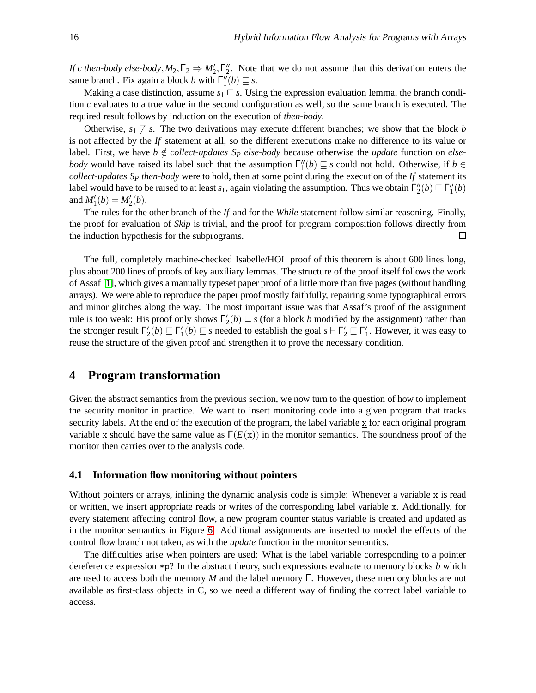*If c then-body else-body*,  $M_2$ ,  $\Gamma_2 \Rightarrow M'_2$ ,  $\Gamma''_2$ . Note that we do not assume that this derivation enters the same branch. Fix again a block *b* with  $\Gamma''_1(b) \sqsubseteq s$ .

Making a case distinction, assume  $s_1 \subseteq s$ . Using the expression evaluation lemma, the branch condition *c* evaluates to a true value in the second configuration as well, so the same branch is executed. The required result follows by induction on the execution of *then-body*.

Otherwise,  $s_1 \not\sqsubseteq s$ . The two derivations may execute different branches; we show that the block *b* is not affected by the *If* statement at all, so the different executions make no difference to its value or label. First, we have  $b \notin collect-up dates$  S<sub>*P*</sub> else-body because otherwise the *update* function on *elsebody* would have raised its label such that the assumption  $\Gamma''_1(b) \sqsubseteq s$  could not hold. Otherwise, if  $b \in$ *collect-updates S<sup>P</sup> then-body* were to hold, then at some point during the execution of the *If* statement its label would have to be raised to at least *s*<sub>1</sub>, again violating the assumption. Thus we obtain  $\Gamma''_2(b) \sqsubseteq \Gamma''_1(b)$ and  $M'_1(b) = M'_2(b)$ .

The rules for the other branch of the *If* and for the *While* statement follow similar reasoning. Finally, the proof for evaluation of *Skip* is trivial, and the proof for program composition follows directly from the induction hypothesis for the subprograms.  $\Box$ 

The full, completely machine-checked Isabelle/HOL proof of this theorem is about 600 lines long, plus about 200 lines of proofs of key auxiliary lemmas. The structure of the proof itself follows the work of Assaf [\[1\]](#page-17-4), which gives a manually typeset paper proof of a little more than five pages (without handling arrays). We were able to reproduce the paper proof mostly faithfully, repairing some typographical errors and minor glitches along the way. The most important issue was that Assaf's proof of the assignment rule is too weak: His proof only shows  $\Gamma'_2(b) \sqsubseteq s$  (for a block *b* modified by the assignment) rather than the stronger result  $\Gamma'_2(b) \sqsubseteq \Gamma'_1(b) \sqsubseteq s$  needed to establish the goal  $s \vdash \Gamma'_2 \sqsubseteq \Gamma'_1$ . However, it was easy to reuse the structure of the given proof and strengthen it to prove the necessary condition.

# <span id="page-11-0"></span>**4 Program transformation**

Given the abstract semantics from the previous section, we now turn to the question of how to implement the security monitor in practice. We want to insert monitoring code into a given program that tracks security labels. At the end of the execution of the program, the label variable  $\overline{x}$  for each original program variable x should have the same value as  $\Gamma(E(x))$  in the monitor semantics. The soundness proof of the monitor then carries over to the analysis code.

#### **4.1 Information flow monitoring without pointers**

Without pointers or arrays, inlining the dynamic analysis code is simple: Whenever a variable x is read or written, we insert appropriate reads or writes of the corresponding label variable  $\underline{x}$ . Additionally, for every statement affecting control flow, a new program counter status variable is created and updated as in the monitor semantics in Figure [6.](#page-7-0) Additional assignments are inserted to model the effects of the control flow branch not taken, as with the *update* function in the monitor semantics.

The difficulties arise when pointers are used: What is the label variable corresponding to a pointer dereference expression \*p? In the abstract theory, such expressions evaluate to memory blocks *b* which are used to access both the memory *M* and the label memory Γ. However, these memory blocks are not available as first-class objects in C, so we need a different way of finding the correct label variable to access.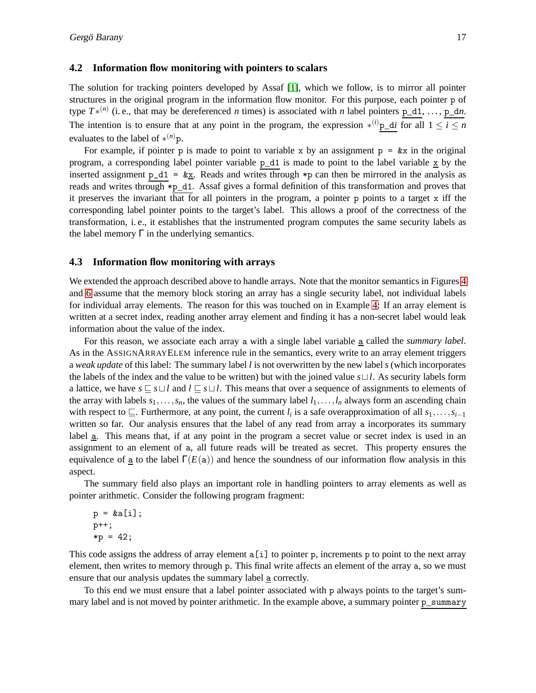#### **4.2 Information flow monitoring with pointers to scalars**

The solution for tracking pointers developed by Assaf [\[1\]](#page-17-4), which we follow, is to mirror all pointer structures in the original program in the information flow monitor. For this purpose, each pointer p of type  $T^{*(n)}$  (i. e., that may be dereferenced *n* times) is associated with *n* label pointers  $p_d_1, \ldots, p_d_n$ . The intention is to ensure that at any point in the program, the expression  $*(i)$  p\_d*i* for all  $1 \le i \le n$ evaluates to the label of ∗ (*n*)p.

For example, if pointer p is made to point to variable x by an assignment  $p = kx$  in the original program, a corresponding label pointer variable  $p_d1$  is made to point to the label variable  $\overline{x}$  by the inserted assignment  $p_d1 = \& x$ . Reads and writes through \*p can then be mirrored in the analysis as reads and writes through \*p\_d1. Assaf gives a formal definition of this transformation and proves that it preserves the invariant that for all pointers in the program, a pointer p points to a target x iff the corresponding label pointer points to the target's label. This allows a proof of the correctness of the transformation, i. e., it establishes that the instrumented program computes the same security labels as the label memory Γ in the underlying semantics.

#### **4.3 Information flow monitoring with arrays**

We extended the approach described above to handle arrays. Note that the monitor semantics in Figures [4](#page-6-0) and [6](#page-7-0) assume that the memory block storing an array has a single security label, not individual labels for individual array elements. The reason for this was touched on in Example [4:](#page-3-1) If an array element is written at a secret index, reading another array element and finding it has a non-secret label would leak information about the value of the index.

For this reason, we associate each array a with a single label variable a called the *summary label*. As in the ASSIGNARRAYELEM inference rule in the semantics, every write to an array element triggers a *weak update* of this label: The summary label *l* is not overwritten by the new label *s* (which incorporates the labels of the index and the value to be written) but with the joined value *s*⊔*l*. As security labels form a lattice, we have *s* ⊑ *s*⊔*l* and *l* ⊑ *s*⊔*l*. This means that over a sequence of assignments to elements of the array with labels  $s_1, \ldots, s_n$ , the values of the summary label  $l_1, \ldots, l_n$  always form an ascending chain with respect to  $\subseteq$ . Furthermore, at any point, the current  $l_i$  is a safe overapproximation of all  $s_1, \ldots, s_{i-1}$ written so far. Our analysis ensures that the label of any read from array a incorporates its summary label <u>a</u>. This means that, if at any point in the program a secret value or secret index is used in an assignment to an element of a, all future reads will be treated as secret. This property ensures the equivalence of  $\underline{a}$  to the label  $\Gamma(E(a))$  and hence the soundness of our information flow analysis in this aspect.

The summary field also plays an important role in handling pointers to array elements as well as pointer arithmetic. Consider the following program fragment:

 $p = \&a[i];$ p++;  $*p = 42;$ 

This code assigns the address of array element a[i] to pointer p, increments p to point to the next array element, then writes to memory through p. This final write affects an element of the array a, so we must ensure that our analysis updates the summary label a correctly.

To this end we must ensure that a label pointer associated with p always points to the target's summary label and is not moved by pointer arithmetic. In the example above, a summary pointer p\_summary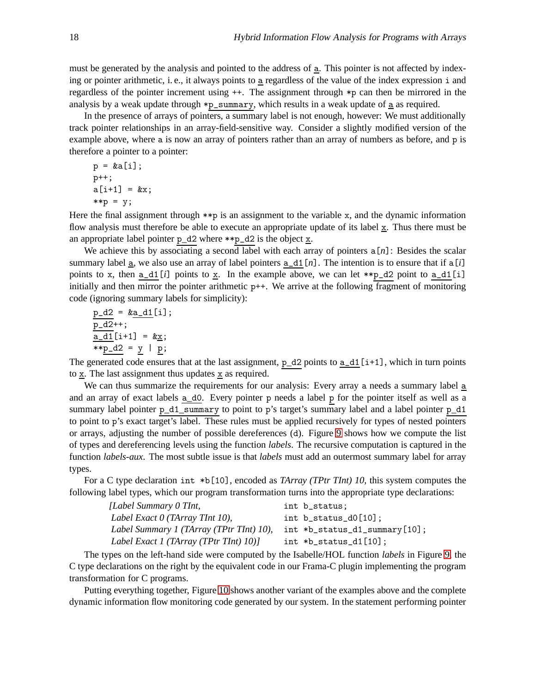must be generated by the analysis and pointed to the address of  $\underline{a}$ . This pointer is not affected by indexing or pointer arithmetic, i.e., it always points to  $\underline{a}$  regardless of the value of the index expression i and regardless of the pointer increment using ++. The assignment through \*p can then be mirrored in the analysis by a weak update through \*p\_summary, which results in a weak update of a as required.

In the presence of arrays of pointers, a summary label is not enough, however: We must additionally track pointer relationships in an array-field-sensitive way. Consider a slightly modified version of the example above, where a is now an array of pointers rather than an array of numbers as before, and p is therefore a pointer to a pointer:

$$
p = \&a[i];
$$
  
\n
$$
p^{++};
$$
  
\n
$$
a[i+1] = \&x
$$
  
\n
$$
* * p = y;
$$

Here the final assignment through  $\ast\ast p$  is an assignment to the variable x, and the dynamic information flow analysis must therefore be able to execute an appropriate update of its label  $\mathbf{x}$ . Thus there must be an appropriate label pointer  $p_d2$  where \*\*p\_d2 is the object  $\underline{x}$ .

We achieve this by associating a second label with each array of pointers  $a[n]$ : Besides the scalar summary label  $\underline{a}$ , we also use an array of label pointers  $\underline{a}$ ,  $\underline{d}$  [*n*]. The intention is to ensure that if  $\underline{a}[i]$ points to x, then  $a_d1[i]$  points to x. In the example above, we can let  $\ast \rho_d2$  point to  $a_d1[i]$ initially and then mirror the pointer arithmetic p++. We arrive at the following fragment of monitoring code (ignoring summary labels for simplicity):

$$
\underline{p\_d2} = \& \underline{a\_d1}[i];
$$
\n
$$
\underline{p\_d2}^{++};
$$
\n
$$
\underline{a\_d1}[i+1] = & \underline{x};
$$
\n
$$
**p\_d2 = y | p;
$$

The generated code ensures that at the last assignment,  $p_d2$  points to  $a_d1[i+1]$ , which in turn points to x. The last assignment thus updates x as required.

We can thus summarize the requirements for our analysis: Every array a needs a summary label a and an array of exact labels  $a_d0$ . Every pointer p needs a label p for the pointer itself as well as a summary label pointer p\_d1\_summary to point to p's target's summary label and a label pointer p\_d1 to point to p's exact target's label. These rules must be applied recursively for types of nested pointers or arrays, adjusting the number of possible dereferences (d). Figure [9](#page-14-0) shows how we compute the list of types and dereferencing levels using the function *labels*. The recursive computation is captured in the function *labels-aux*. The most subtle issue is that *labels* must add an outermost summary label for array types.

For a C type declaration int \*b[10], encoded as *TArray (TPtr TInt) 10*, this system computes the following label types, which our program transformation turns into the appropriate type declarations:

| int b_status;                        |
|--------------------------------------|
| int $b_$ status $d0[10]$ ;           |
| $int *b_ status_ d1_ summary  [10];$ |
| int $*b_$ status $-d1$ [10];         |
|                                      |

The types on the left-hand side were computed by the Isabelle/HOL function *labels* in Figure [9,](#page-14-0) the C type declarations on the right by the equivalent code in our Frama-C plugin implementing the program transformation for C programs.

Putting everything together, Figure [10](#page-14-1) shows another variant of the examples above and the complete dynamic information flow monitoring code generated by our system. In the statement performing pointer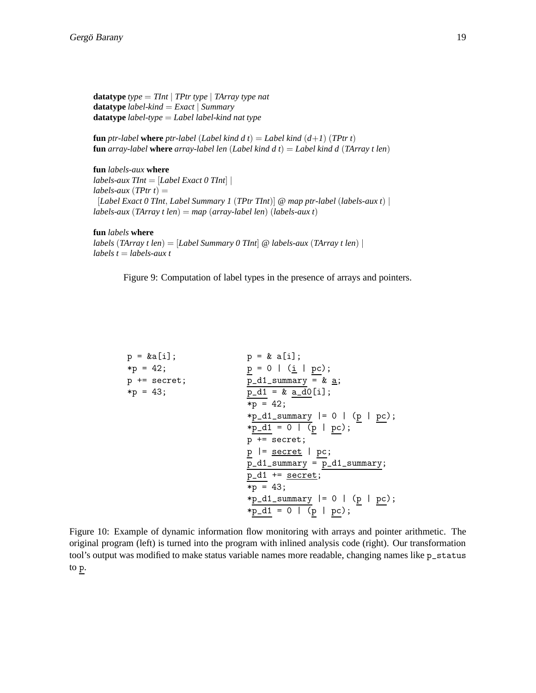<span id="page-14-0"></span>**datatype** *type* = *TInt* | *TPtr type* | *TArray type nat* **datatype** *label-kind* = *Exact* | *Summary* **datatype** *label-type* = *Label label-kind nat type*

**fun** *ptr-label* **where** *ptr-label* (*Label kind d t*) = *Label kind*  $(d+1)$  (*TPtr t*) **fun** *array-label* **where** *array-label len* (*Label kind d t)* = *Label kind d (TArray t len)* 

**fun** *labels-aux* **where** *labels-aux TInt* = [*Label Exact 0 TInt*] |  $labels-aux(TPtr t) =$ [*Label Exact 0 TInt*, *Label Summary 1* (*TPtr TInt*)] @ *map ptr-label* (*labels-aux t*) | *labels-aux* (*TArray t len*) = *map* (*array-label len*) (*labels-aux t*)

**fun** *labels* **where** *labels* (*TArray t len*) = [*Label Summary 0 TInt*] @ *labels-aux* (*TArray t len*) | *labels t* = *labels-aux t*

Figure 9: Computation of label types in the presence of arrays and pointers.

<span id="page-14-1"></span>

| $p = \&a[i];$  | $p = k a[i];$                         |
|----------------|---------------------------------------|
| $*p = 42;$     | $p = 0 \mid (\underline{i} \mid pc);$ |
| $p$ += secret; | $p_d1$ _summary = & <u>a</u> ;        |
| $*p = 43;$     | $p_d1 = x_d0[i];$                     |
|                | $*p = 42;$                            |
|                | $*p_d1_summary  = 0   (p   pc);$      |
|                | $*p_d1 = 0   (p   pc);$               |
|                | $p$ += secret;                        |
|                | $p$  = $\frac{secret}{}$   $pc$ ;     |
|                | $p_d1$ _summary = $p_d1$ _summary;    |
|                | $p_d1 += secret;$                     |
|                | $*p = 43;$                            |
|                | $*p_d1_summary  = 0   (p   pc);$      |
|                | $*p_d1 = 0   (p   pc);$               |

Figure 10: Example of dynamic information flow monitoring with arrays and pointer arithmetic. The original program (left) is turned into the program with inlined analysis code (right). Our transformation tool's output was modified to make status variable names more readable, changing names like p\_status to p.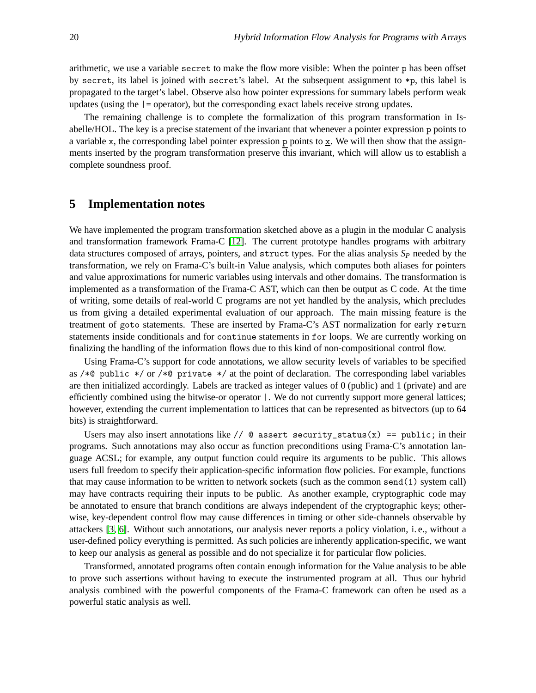arithmetic, we use a variable secret to make the flow more visible: When the pointer p has been offset by secret, its label is joined with secret's label. At the subsequent assignment to \*p, this label is propagated to the target's label. Observe also how pointer expressions for summary labels perform weak updates (using the |= operator), but the corresponding exact labels receive strong updates.

The remaining challenge is to complete the formalization of this program transformation in Isabelle/HOL. The key is a precise statement of the invariant that whenever a pointer expression p points to a variable x, the corresponding label pointer expression  $p$  points to  $\overline{x}$ . We will then show that the assignments inserted by the program transformation preserve this invariant, which will allow us to establish a complete soundness proof.

### <span id="page-15-0"></span>**5 Implementation notes**

We have implemented the program transformation sketched above as a plugin in the modular C analysis and transformation framework Frama-C [\[12\]](#page-17-6). The current prototype handles programs with arbitrary data structures composed of arrays, pointers, and struct types. For the alias analysis  $S_p$  needed by the transformation, we rely on Frama-C's built-in Value analysis, which computes both aliases for pointers and value approximations for numeric variables using intervals and other domains. The transformation is implemented as a transformation of the Frama-C AST, which can then be output as C code. At the time of writing, some details of real-world C programs are not yet handled by the analysis, which precludes us from giving a detailed experimental evaluation of our approach. The main missing feature is the treatment of goto statements. These are inserted by Frama-C's AST normalization for early return statements inside conditionals and for continue statements in for loops. We are currently working on finalizing the handling of the information flows due to this kind of non-compositional control flow.

Using Frama-C's support for code annotations, we allow security levels of variables to be specified as / $*$ @ public  $*$ / or / $*$ © private  $*$ / at the point of declaration. The corresponding label variables are then initialized accordingly. Labels are tracked as integer values of 0 (public) and 1 (private) and are efficiently combined using the bitwise-or operator |. We do not currently support more general lattices; however, extending the current implementation to lattices that can be represented as bitvectors (up to 64 bits) is straightforward.

Users may also insert annotations like  $// \mathcal{Q}$  assert security\_status(x) == public; in their programs. Such annotations may also occur as function preconditions using Frama-C's annotation language ACSL; for example, any output function could require its arguments to be public. This allows users full freedom to specify their application-specific information flow policies. For example, functions that may cause information to be written to network sockets (such as the common send(1) system call) may have contracts requiring their inputs to be public. As another example, cryptographic code may be annotated to ensure that branch conditions are always independent of the cryptographic keys; otherwise, key-dependent control flow may cause differences in timing or other side-channels observable by attackers [\[3,](#page-17-8) [6\]](#page-17-9). Without such annotations, our analysis never reports a policy violation, i. e., without a user-defined policy everything is permitted. As such policies are inherently application-specific, we want to keep our analysis as general as possible and do not specialize it for particular flow policies.

Transformed, annotated programs often contain enough information for the Value analysis to be able to prove such assertions without having to execute the instrumented program at all. Thus our hybrid analysis combined with the powerful components of the Frama-C framework can often be used as a powerful static analysis as well.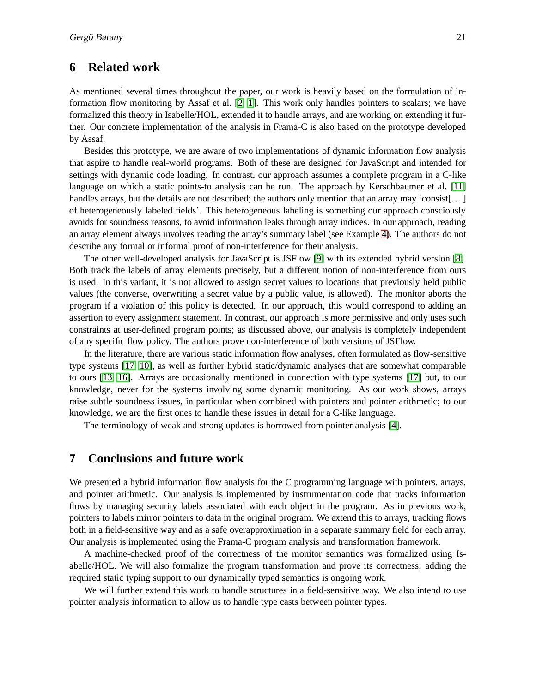### <span id="page-16-0"></span>**6 Related work**

As mentioned several times throughout the paper, our work is heavily based on the formulation of information flow monitoring by Assaf et al. [\[2,](#page-17-10) [1\]](#page-17-4). This work only handles pointers to scalars; we have formalized this theory in Isabelle/HOL, extended it to handle arrays, and are working on extending it further. Our concrete implementation of the analysis in Frama-C is also based on the prototype developed by Assaf.

Besides this prototype, we are aware of two implementations of dynamic information flow analysis that aspire to handle real-world programs. Both of these are designed for JavaScript and intended for settings with dynamic code loading. In contrast, our approach assumes a complete program in a C-like language on which a static points-to analysis can be run. The approach by Kerschbaumer et al. [\[11\]](#page-17-2) handles arrays, but the details are not described; the authors only mention that an array may 'consist[...] of heterogeneously labeled fields'. This heterogeneous labeling is something our approach consciously avoids for soundness reasons, to avoid information leaks through array indices. In our approach, reading an array element always involves reading the array's summary label (see Example [4\)](#page-3-1). The authors do not describe any formal or informal proof of non-interference for their analysis.

The other well-developed analysis for JavaScript is JSFlow [\[9\]](#page-17-3) with its extended hybrid version [\[8\]](#page-17-11). Both track the labels of array elements precisely, but a different notion of non-interference from ours is used: In this variant, it is not allowed to assign secret values to locations that previously held public values (the converse, overwriting a secret value by a public value, is allowed). The monitor aborts the program if a violation of this policy is detected. In our approach, this would correspond to adding an assertion to every assignment statement. In contrast, our approach is more permissive and only uses such constraints at user-defined program points; as discussed above, our analysis is completely independent of any specific flow policy. The authors prove non-interference of both versions of JSFlow.

In the literature, there are various static information flow analyses, often formulated as flow-sensitive type systems [\[17,](#page-18-1) [10\]](#page-17-12), as well as further hybrid static/dynamic analyses that are somewhat comparable to ours [\[13,](#page-17-13) [16\]](#page-18-2). Arrays are occasionally mentioned in connection with type systems [\[17\]](#page-18-1) but, to our knowledge, never for the systems involving some dynamic monitoring. As our work shows, arrays raise subtle soundness issues, in particular when combined with pointers and pointer arithmetic; to our knowledge, we are the first ones to handle these issues in detail for a C-like language.

The terminology of weak and strong updates is borrowed from pointer analysis [\[4\]](#page-17-14).

# <span id="page-16-1"></span>**7 Conclusions and future work**

We presented a hybrid information flow analysis for the C programming language with pointers, arrays, and pointer arithmetic. Our analysis is implemented by instrumentation code that tracks information flows by managing security labels associated with each object in the program. As in previous work, pointers to labels mirror pointers to data in the original program. We extend this to arrays, tracking flows both in a field-sensitive way and as a safe overapproximation in a separate summary field for each array. Our analysis is implemented using the Frama-C program analysis and transformation framework.

A machine-checked proof of the correctness of the monitor semantics was formalized using Isabelle/HOL. We will also formalize the program transformation and prove its correctness; adding the required static typing support to our dynamically typed semantics is ongoing work.

We will further extend this work to handle structures in a field-sensitive way. We also intend to use pointer analysis information to allow us to handle type casts between pointer types.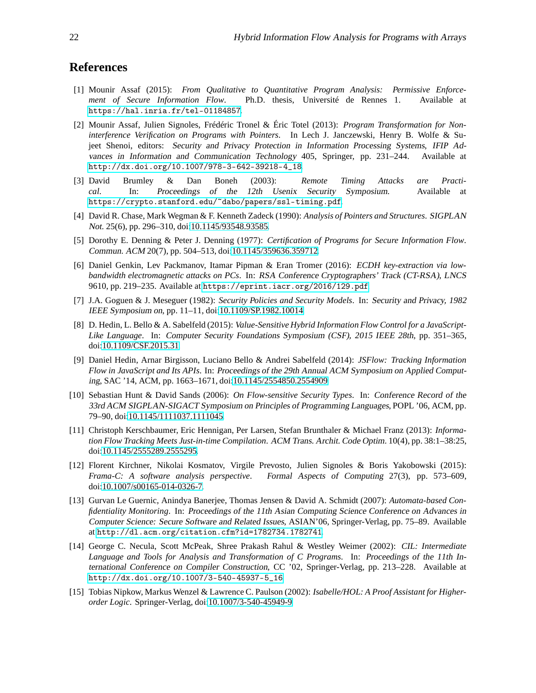# <span id="page-17-4"></span>**References**

- [1] Mounir Assaf (2015): *From Qualitative to Quantitative Program Analysis: Permissive Enforcement of Secure Information Flow*. Ph.D. thesis, Université de Rennes 1. Available at <https://hal.inria.fr/tel-01184857>.
- <span id="page-17-10"></span>[2] Mounir Assaf, Julien Signoles, Frédéric Tronel & Éric Totel (2013): *Program Transformation for Noninterference Verification on Programs with Pointers*. In Lech J. Janczewski, Henry B. Wolfe & Sujeet Shenoi, editors: Security and Privacy Protection in Information Processing Systems, IFIP Advances in Information and Communication Technology 405, Springer, pp. 231–244. Available at [http://dx.doi.org/10.1007/978-3-642-39218-4\\_18](http://dx.doi.org/10.1007/978-3-642-39218-4_18).
- <span id="page-17-8"></span>[3] David Brumley & Dan Boneh (2003): *Remote Timing Attacks are Practical*. In: Proceedings of the 12th Usenix Security Symposium. Available at <https://crypto.stanford.edu/~dabo/papers/ssl-timing.pdf>.
- <span id="page-17-14"></span>[4] David R. Chase, Mark Wegman & F. Kenneth Zadeck (1990): *Analysis of Pointers and Structures*. SIGPLAN Not. 25(6), pp. 296–310, doi[:10.1145/93548.93585.](http://dx.doi.org/10.1145/93548.93585)
- <span id="page-17-0"></span>[5] Dorothy E. Denning & Peter J. Denning (1977): *Certification of Programs for Secure Information Flow*. Commun. ACM 20(7), pp. 504–513, doi[:10.1145/359636.359712.](http://dx.doi.org/10.1145/359636.359712)
- <span id="page-17-9"></span>[6] Daniel Genkin, Lev Packmanov, Itamar Pipman & Eran Tromer (2016): *ECDH key-extraction via lowbandwidth electromagnetic attacks on PCs*. In: RSA Conference Cryptographers' Track (CT-RSA), LNCS 9610, pp. 219–235. Available at <https://eprint.iacr.org/2016/129.pdf>.
- <span id="page-17-1"></span>[7] J.A. Goguen & J. Meseguer (1982): *Security Policies and Security Models*. In: Security and Privacy, <sup>1982</sup> IEEE Symposium on, pp. 11–11, doi[:10.1109/SP.1982.10014.](http://dx.doi.org/10.1109/SP.1982.10014)
- <span id="page-17-11"></span>[8] D. Hedin, L. Bello & A. Sabelfeld (2015): *Value-Sensitive Hybrid Information Flow Control for a JavaScript-Like Language*. In: Computer Security Foundations Symposium (CSF), <sup>2015</sup> IEEE 28th, pp. 351–365, doi[:10.1109/CSF.2015.31.](http://dx.doi.org/10.1109/CSF.2015.31)
- <span id="page-17-3"></span>[9] Daniel Hedin, Arnar Birgisson, Luciano Bello & Andrei Sabelfeld (2014): *JSFlow: Tracking Information Flow in JavaScript and Its APIs*. In: Proceedings of the 29th Annual ACM Symposium on Applied Computing, SAC '14, ACM, pp. 1663–1671, doi[:10.1145/2554850.2554909.](http://dx.doi.org/10.1145/2554850.2554909)
- <span id="page-17-12"></span>[10] Sebastian Hunt & David Sands (2006): *On Flow-sensitive Security Types*. In: Conference Record of the 33rd ACM SIGPLAN-SIGACT Symposium on Principles of Programming Languages, POPL '06, ACM, pp. 79–90, doi[:10.1145/1111037.1111045.](http://dx.doi.org/10.1145/1111037.1111045)
- <span id="page-17-2"></span>[11] Christoph Kerschbaumer, Eric Hennigan, Per Larsen, Stefan Brunthaler & Michael Franz (2013): *Information Flow Tracking Meets Just-in-time Compilation*. ACM Trans. Archit. Code Optim. 10(4), pp. 38:1–38:25, doi[:10.1145/2555289.2555295.](http://dx.doi.org/10.1145/2555289.2555295)
- <span id="page-17-6"></span>[12] Florent Kirchner, Nikolai Kosmatov, Virgile Prevosto, Julien Signoles & Boris Yakobowski (2015): *Frama-C: A software analysis perspective*. Formal Aspects of Computing 27(3), pp. 573–609, doi[:10.1007/s00165-014-0326-7.](http://dx.doi.org/10.1007/s00165-014-0326-7)
- <span id="page-17-13"></span>[13] Gurvan Le Guernic, Anindya Banerjee, Thomas Jensen & David A. Schmidt (2007): *Automata-based Confidentiality Monitoring*. In: Proceedings of the 11th Asian Computing Science Conference on Advances in Computer Science: Secure Software and Related Issues, ASIAN'06, Springer-Verlag, pp. 75–89. Available at <http://dl.acm.org/citation.cfm?id=1782734.1782741>.
- <span id="page-17-7"></span>[14] George C. Necula, Scott McPeak, Shree Prakash Rahul & Westley Weimer (2002): *CIL: Intermediate Language and Tools for Analysis and Transformation of C Programs*. In: Proceedings of the 11th International Conference on Compiler Construction, CC '02, Springer-Verlag, pp. 213–228. Available at [http://dx.doi.org/10.1007/3-540-45937-5\\_16](http://dx.doi.org/10.1007/3-540-45937-5_16).
- <span id="page-17-5"></span>[15] Tobias Nipkow, Markus Wenzel & Lawrence C. Paulson (2002): *Isabelle/HOL: A Proof Assistant for Higherorder Logic*. Springer-Verlag, doi[:10.1007/3-540-45949-9.](http://dx.doi.org/10.1007/3-540-45949-9)